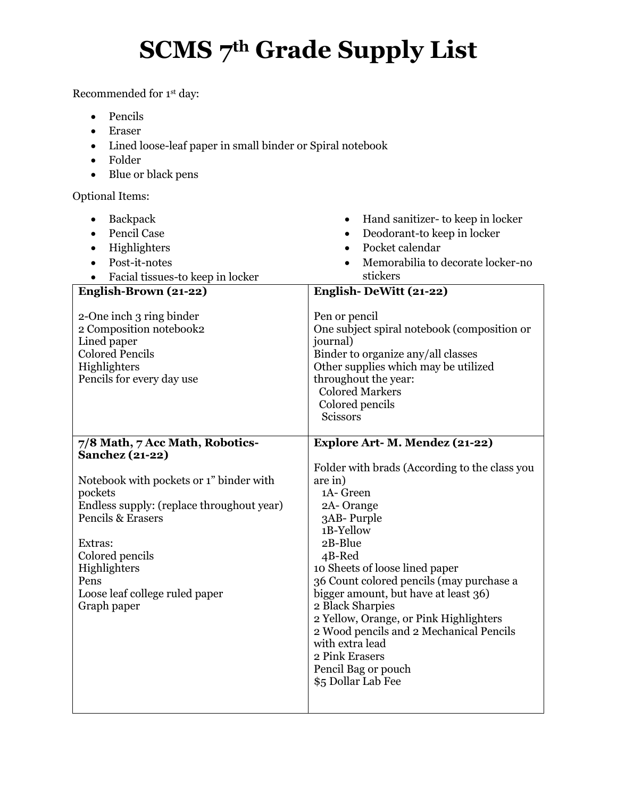## **SCMS 7th Grade Supply List**

Recommended for 1st day:

- Pencils
- Eraser
- Lined loose-leaf paper in small binder or Spiral notebook
- Folder
- Blue or black pens

Optional Items:

| Backpack<br>$\bullet$                                                                                                                     | Hand sanitizer- to keep in locker<br>$\bullet$                                                                                                                                                                                                 |
|-------------------------------------------------------------------------------------------------------------------------------------------|------------------------------------------------------------------------------------------------------------------------------------------------------------------------------------------------------------------------------------------------|
| <b>Pencil Case</b>                                                                                                                        | Deodorant-to keep in locker<br>$\bullet$                                                                                                                                                                                                       |
| Highlighters                                                                                                                              | Pocket calendar<br>$\bullet$                                                                                                                                                                                                                   |
| Post-it-notes                                                                                                                             | Memorabilia to decorate locker-no                                                                                                                                                                                                              |
| Facial tissues-to keep in locker                                                                                                          | stickers                                                                                                                                                                                                                                       |
| English-Brown (21-22)                                                                                                                     | English-DeWitt (21-22)                                                                                                                                                                                                                         |
| 2-One inch 3 ring binder<br>2 Composition notebook2<br>Lined paper<br><b>Colored Pencils</b><br>Highlighters<br>Pencils for every day use | Pen or pencil<br>One subject spiral notebook (composition or<br>journal)<br>Binder to organize any/all classes<br>Other supplies which may be utilized<br>throughout the year:<br><b>Colored Markers</b><br>Colored pencils<br><b>Scissors</b> |
| 7/8 Math, 7 Acc Math, Robotics-                                                                                                           | <b>Explore Art- M. Mendez (21-22)</b>                                                                                                                                                                                                          |
| <b>Sanchez (21-22)</b>                                                                                                                    |                                                                                                                                                                                                                                                |
| Notebook with pockets or 1" binder with                                                                                                   | Folder with brads (According to the class you<br>are in)                                                                                                                                                                                       |
| pockets                                                                                                                                   | 1A-Green                                                                                                                                                                                                                                       |
| Endless supply: (replace throughout year)                                                                                                 | 2A-Orange                                                                                                                                                                                                                                      |
| <b>Pencils &amp; Erasers</b>                                                                                                              | 3AB-Purple                                                                                                                                                                                                                                     |
| Extras:                                                                                                                                   | 1B-Yellow<br>2B-Blue                                                                                                                                                                                                                           |
| Colored pencils                                                                                                                           | 4B-Red                                                                                                                                                                                                                                         |
| Highlighters                                                                                                                              | 10 Sheets of loose lined paper                                                                                                                                                                                                                 |
| Pens                                                                                                                                      | 36 Count colored pencils (may purchase a                                                                                                                                                                                                       |
| Loose leaf college ruled paper                                                                                                            | bigger amount, but have at least 36)                                                                                                                                                                                                           |
| Graph paper                                                                                                                               | 2 Black Sharpies                                                                                                                                                                                                                               |
|                                                                                                                                           | 2 Yellow, Orange, or Pink Highlighters<br>2 Wood pencils and 2 Mechanical Pencils                                                                                                                                                              |
|                                                                                                                                           | with extra lead                                                                                                                                                                                                                                |
|                                                                                                                                           | 2 Pink Erasers                                                                                                                                                                                                                                 |
|                                                                                                                                           | Pencil Bag or pouch                                                                                                                                                                                                                            |
|                                                                                                                                           | \$5 Dollar Lab Fee                                                                                                                                                                                                                             |
|                                                                                                                                           |                                                                                                                                                                                                                                                |